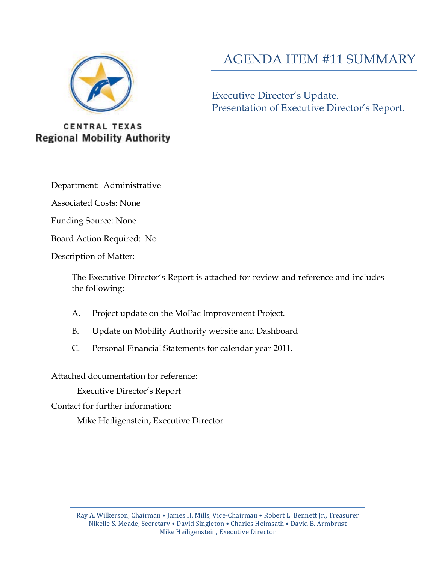

# AGENDA ITEM #11 SUMMARY

Executive Director's Update. Presentation of Executive Director's Report.

**CENTRAL TEXAS Regional Mobility Authority** 

Department: Administrative

Associated Costs: None

Funding Source: None

Board Action Required: No

Description of Matter:

The Executive Director's Report is attached for review and reference and includes the following:

- A. Project update on the MoPac Improvement Project.
- B. Update on Mobility Authority website and Dashboard
- C. Personal Financial Statements for calendar year 2011.

Attached documentation for reference:

Executive Director's Report

Contact for further information:

Mike Heiligenstein, Executive Director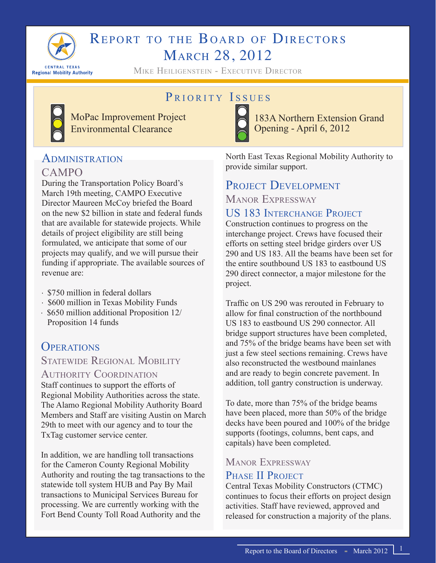

# REPORT TO THE BOARD OF DIRECTORS March 28, 2012

Mike Heiligenstein - Executive Director

# PRIORITY ISSUES



MoPac Improvement Project Environmental Clearance

183A Northern Extension Grand Opening - April 6, 2012

# **ADMINISTRATION** CAMPO

During the Transportation Policy Board's March 19th meeting, CAMPO Executive Director Maureen McCoy briefed the Board on the new \$2 billion in state and federal funds that are available for statewide projects. While details of project eligibility are still being formulated, we anticipate that some of our projects may qualify, and we will pursue their funding if appropriate. The available sources of revenue are:

- ∙ \$750 million in federal dollars
- ∙ \$600 million in Texas Mobility Funds
- ∙ \$650 million additional Proposition 12/ Proposition 14 funds

# **OPERATIONS**

## STATEWIDE REGIONAL MOBILITY

#### Authority Coordination

Staff continues to support the efforts of Regional Mobility Authorities across the state. The Alamo Regional Mobility Authority Board Members and Staff are visiting Austin on March 29th to meet with our agency and to tour the TxTag customer service center.

In addition, we are handling toll transactions for the Cameron County Regional Mobility Authority and routing the tag transactions to the statewide toll system HUB and Pay By Mail transactions to Municipal Services Bureau for processing. We are currently working with the Fort Bend County Toll Road Authority and the

North East Texas Regional Mobility Authority to provide similar support.

# PROJECT DEVELOPMENT

Manor Expressway

# US 183 Interchange Project

Construction continues to progress on the interchange project. Crews have focused their efforts on setting steel bridge girders over US 290 and US 183. All the beams have been set for the entire southbound US 183 to eastbound US 290 direct connector, a major milestone for the project.

Traffic on US 290 was rerouted in February to allow for final construction of the northbound US 183 to eastbound US 290 connector. All bridge support structures have been completed, and 75% of the bridge beams have been set with just a few steel sections remaining. Crews have also reconstructed the westbound mainlanes and are ready to begin concrete pavement. In addition, toll gantry construction is underway.

To date, more than 75% of the bridge beams have been placed, more than 50% of the bridge decks have been poured and 100% of the bridge supports (footings, columns, bent caps, and capitals) have been completed.

# Manor Expressway

## PHASE II PROJECT

Central Texas Mobility Constructors (CTMC) continues to focus their efforts on project design activities. Staff have reviewed, approved and released for construction a majority of the plans.